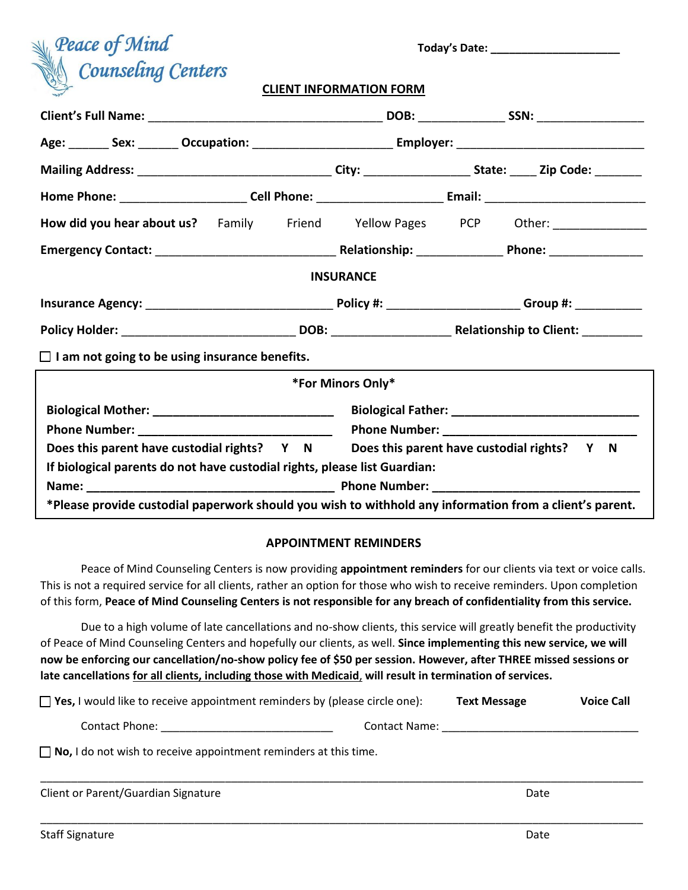| $\mathbb{R}$ Peace of Mind       |  |
|----------------------------------|--|
| <b>Secure Counseling Centers</b> |  |

 **Today's Date: \_\_\_\_\_\_\_\_\_\_\_\_\_\_\_\_\_\_\_\_\_**

#### **CLIENT INFORMATION FORM**

| How did you hear about us? Family Friend Yellow Pages PCP Other: [100] Denian Lines |                                                                                                         |  |
|-------------------------------------------------------------------------------------|---------------------------------------------------------------------------------------------------------|--|
|                                                                                     |                                                                                                         |  |
|                                                                                     | <b>INSURANCE</b>                                                                                        |  |
|                                                                                     |                                                                                                         |  |
|                                                                                     |                                                                                                         |  |
| $\Box$ I am not going to be using insurance benefits.                               |                                                                                                         |  |
|                                                                                     | *For Minors Only*                                                                                       |  |
|                                                                                     |                                                                                                         |  |
|                                                                                     |                                                                                                         |  |
|                                                                                     | Does this parent have custodial rights? Y N Does this parent have custodial rights? Y N                 |  |
| If biological parents do not have custodial rights, please list Guardian:           |                                                                                                         |  |
|                                                                                     |                                                                                                         |  |
|                                                                                     | *Please provide custodial paperwork should you wish to withhold any information from a client's parent. |  |

#### **APPOINTMENT REMINDERS**

Peace of Mind Counseling Centers is now providing **appointment reminders** for our clients via text or voice calls. This is not a required service for all clients, rather an option for those who wish to receive reminders. Upon completion of this form, **Peace of Mind Counseling Centers is not responsible for any breach of confidentiality from this service.** 

Due to a high volume of late cancellations and no-show clients, this service will greatly benefit the productivity of Peace of Mind Counseling Centers and hopefully our clients, as well. **Since implementing this new service, we will now be enforcing our cancellation/no-show policy fee of \$50 per session. However, after THREE missed sessions or late cancellations for all clients, including those with Medicaid**, **will result in termination of services.** 

| $\Box$ Yes, I would like to receive appointment reminders by (please circle one): |                      | <b>Text Message</b> | <b>Voice Call</b> |
|-----------------------------------------------------------------------------------|----------------------|---------------------|-------------------|
| Contact Phone:                                                                    | <b>Contact Name:</b> |                     |                   |
| $\Box$ No, I do not wish to receive appointment reminders at this time.           |                      |                     |                   |

\_\_\_\_\_\_\_\_\_\_\_\_\_\_\_\_\_\_\_\_\_\_\_\_\_\_\_\_\_\_\_\_\_\_\_\_\_\_\_\_\_\_\_\_\_\_\_\_\_\_\_\_\_\_\_\_\_\_\_\_\_\_\_\_\_\_\_\_\_\_\_\_\_\_\_\_\_\_\_\_\_\_\_\_\_\_\_\_\_\_\_\_\_\_\_\_\_\_

\_\_\_\_\_\_\_\_\_\_\_\_\_\_\_\_\_\_\_\_\_\_\_\_\_\_\_\_\_\_\_\_\_\_\_\_\_\_\_\_\_\_\_\_\_\_\_\_\_\_\_\_\_\_\_\_\_\_\_\_\_\_\_\_\_\_\_\_\_\_\_\_\_\_\_\_\_\_\_\_\_\_\_\_\_\_\_\_\_\_\_\_\_\_\_\_\_\_

| Client or Parent/Guardian Signature | Date |
|-------------------------------------|------|
|-------------------------------------|------|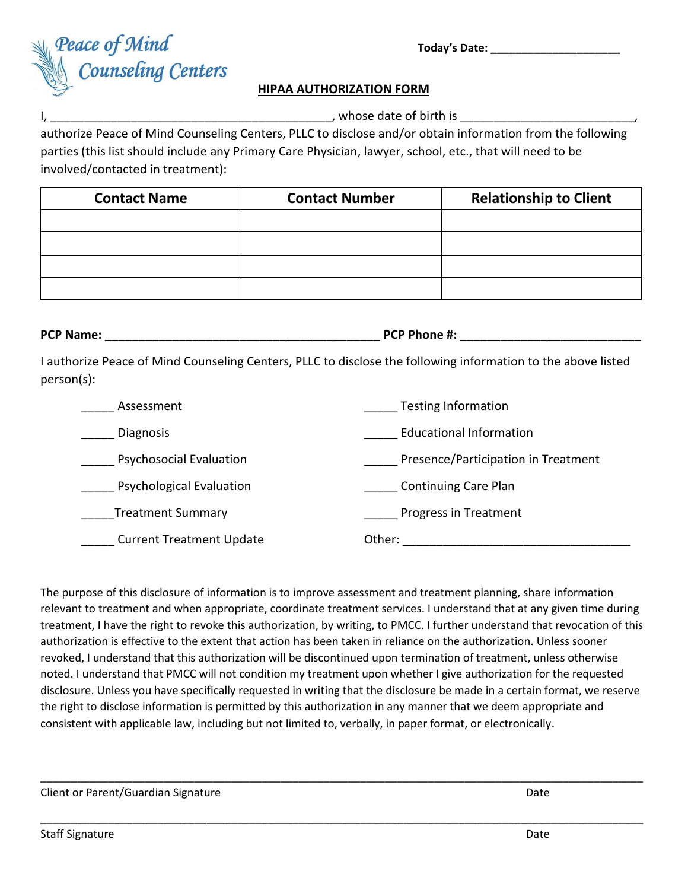

## **HIPAA AUTHORIZATION FORM**

I,  $\,$   $\,$ 

authorize Peace of Mind Counseling Centers, PLLC to disclose and/or obtain information from the following parties (this list should include any Primary Care Physician, lawyer, school, etc., that will need to be involved/contacted in treatment):

| <b>Contact Name</b> | <b>Contact Number</b> | <b>Relationship to Client</b> |
|---------------------|-----------------------|-------------------------------|
|                     |                       |                               |
|                     |                       |                               |
|                     |                       |                               |
|                     |                       |                               |

**PCP Name: PCP Phone #:**  $\blacksquare$ 

I authorize Peace of Mind Counseling Centers, PLLC to disclose the following information to the above listed person(s):

| Assessment                      | <b>Testing Information</b>          |
|---------------------------------|-------------------------------------|
| <b>Diagnosis</b>                | <b>Educational Information</b>      |
| <b>Psychosocial Evaluation</b>  | Presence/Participation in Treatment |
| <b>Psychological Evaluation</b> | <b>Continuing Care Plan</b>         |
| <b>Treatment Summary</b>        | Progress in Treatment               |
| <b>Current Treatment Update</b> | Other:                              |

The purpose of this disclosure of information is to improve assessment and treatment planning, share information relevant to treatment and when appropriate, coordinate treatment services. I understand that at any given time during treatment, I have the right to revoke this authorization, by writing, to PMCC. I further understand that revocation of this authorization is effective to the extent that action has been taken in reliance on the authorization. Unless sooner revoked, I understand that this authorization will be discontinued upon termination of treatment, unless otherwise noted. I understand that PMCC will not condition my treatment upon whether I give authorization for the requested disclosure. Unless you have specifically requested in writing that the disclosure be made in a certain format, we reserve the right to disclose information is permitted by this authorization in any manner that we deem appropriate and consistent with applicable law, including but not limited to, verbally, in paper format, or electronically.

\_\_\_\_\_\_\_\_\_\_\_\_\_\_\_\_\_\_\_\_\_\_\_\_\_\_\_\_\_\_\_\_\_\_\_\_\_\_\_\_\_\_\_\_\_\_\_\_\_\_\_\_\_\_\_\_\_\_\_\_\_\_\_\_\_\_\_\_\_\_\_\_\_\_\_\_\_\_\_\_\_\_\_\_\_\_\_\_\_\_\_\_\_\_\_\_\_\_

\_\_\_\_\_\_\_\_\_\_\_\_\_\_\_\_\_\_\_\_\_\_\_\_\_\_\_\_\_\_\_\_\_\_\_\_\_\_\_\_\_\_\_\_\_\_\_\_\_\_\_\_\_\_\_\_\_\_\_\_\_\_\_\_\_\_\_\_\_\_\_\_\_\_\_\_\_\_\_\_\_\_\_\_\_\_\_\_\_\_\_\_\_\_\_\_\_\_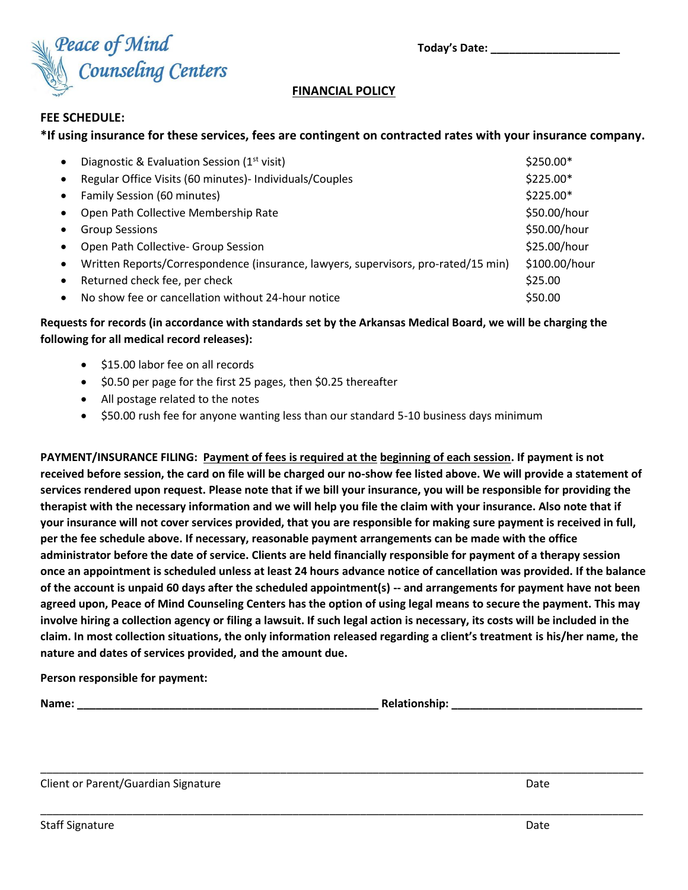

## **FINANCIAL POLICY**

#### **FEE SCHEDULE:**

## **\*If using insurance for these services, fees are contingent on contracted rates with your insurance company.**

| $\bullet$ | Diagnostic & Evaluation Session (1 <sup>st</sup> visit)                            | $$250.00*$    |
|-----------|------------------------------------------------------------------------------------|---------------|
| $\bullet$ | Regular Office Visits (60 minutes)- Individuals/Couples                            | \$225.00*     |
| $\bullet$ | Family Session (60 minutes)                                                        | \$225.00*     |
| $\bullet$ | Open Path Collective Membership Rate                                               | \$50.00/hour  |
|           | <b>Group Sessions</b>                                                              | \$50.00/hour  |
|           | Open Path Collective- Group Session                                                | \$25.00/hour  |
| $\bullet$ | Written Reports/Correspondence (insurance, lawyers, supervisors, pro-rated/15 min) | \$100.00/hour |
| $\bullet$ | Returned check fee, per check                                                      | \$25.00       |
|           | No show fee or cancellation without 24-hour notice                                 | \$50.00       |
|           |                                                                                    |               |

## **Requests for records (in accordance with standards set by the Arkansas Medical Board, we will be charging the following for all medical record releases):**

- \$15.00 labor fee on all records
- \$0.50 per page for the first 25 pages, then \$0.25 thereafter
- All postage related to the notes
- \$50.00 rush fee for anyone wanting less than our standard 5-10 business days minimum

**PAYMENT/INSURANCE FILING: Payment of fees is required at the beginning of each session. If payment is not received before session, the card on file will be charged our no-show fee listed above. We will provide a statement of services rendered upon request. Please note that if we bill your insurance, you will be responsible for providing the therapist with the necessary information and we will help you file the claim with your insurance. Also note that if your insurance will not cover services provided, that you are responsible for making sure payment is received in full, per the fee schedule above. If necessary, reasonable payment arrangements can be made with the office administrator before the date of service. Clients are held financially responsible for payment of a therapy session once an appointment is scheduled unless at least 24 hours advance notice of cancellation was provided. If the balance of the account is unpaid 60 days after the scheduled appointment(s) -- and arrangements for payment have not been agreed upon, Peace of Mind Counseling Centers has the option of using legal means to secure the payment. This may involve hiring a collection agency or filing a lawsuit. If such legal action is necessary, its costs will be included in the claim. In most collection situations, the only information released regarding a client's treatment is his/her name, the nature and dates of services provided, and the amount due.**

\_\_\_\_\_\_\_\_\_\_\_\_\_\_\_\_\_\_\_\_\_\_\_\_\_\_\_\_\_\_\_\_\_\_\_\_\_\_\_\_\_\_\_\_\_\_\_\_\_\_\_\_\_\_\_\_\_\_\_\_\_\_\_\_\_\_\_\_\_\_\_\_\_\_\_\_\_\_\_\_\_\_\_\_\_\_\_\_\_\_\_\_\_\_\_\_\_\_

\_\_\_\_\_\_\_\_\_\_\_\_\_\_\_\_\_\_\_\_\_\_\_\_\_\_\_\_\_\_\_\_\_\_\_\_\_\_\_\_\_\_\_\_\_\_\_\_\_\_\_\_\_\_\_\_\_\_\_\_\_\_\_\_\_\_\_\_\_\_\_\_\_\_\_\_\_\_\_\_\_\_\_\_\_\_\_\_\_\_\_\_\_\_\_\_\_\_

**Person responsible for payment:**

**Name: \_\_\_\_\_\_\_\_\_\_\_\_\_\_\_\_\_\_\_\_\_\_\_\_\_\_\_\_\_\_\_\_\_\_\_\_\_\_\_\_\_\_\_\_\_\_\_\_\_ Relationship: \_\_\_\_\_\_\_\_\_\_\_\_\_\_\_\_\_\_\_\_\_\_\_\_\_\_\_\_\_\_\_**

Client or Parent/Guardian Signature **Date of Australian Signature** Date **Date**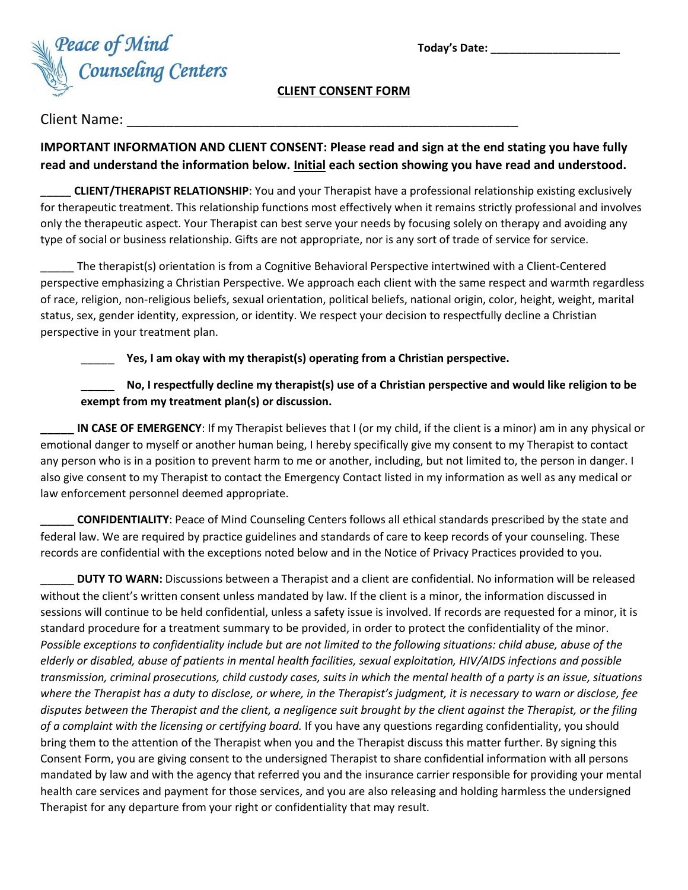

## **CLIENT CONSENT FORM**

# Client Name:

# **IMPORTANT INFORMATION AND CLIENT CONSENT: Please read and sign at the end stating you have fully read and understand the information below. Initial each section showing you have read and understood.**

**\_\_\_\_\_ CLIENT/THERAPIST RELATIONSHIP**: You and your Therapist have a professional relationship existing exclusively for therapeutic treatment. This relationship functions most effectively when it remains strictly professional and involves only the therapeutic aspect. Your Therapist can best serve your needs by focusing solely on therapy and avoiding any type of social or business relationship. Gifts are not appropriate, nor is any sort of trade of service for service.

\_\_\_\_\_ The therapist(s) orientation is from a Cognitive Behavioral Perspective intertwined with a Client-Centered perspective emphasizing a Christian Perspective. We approach each client with the same respect and warmth regardless of race, religion, non-religious beliefs, sexual orientation, political beliefs, national origin, color, height, weight, marital status, sex, gender identity, expression, or identity. We respect your decision to respectfully decline a Christian perspective in your treatment plan.

\_\_\_\_\_ **Yes, I am okay with my therapist(s) operating from a Christian perspective.**

# **\_\_\_\_\_ No, I respectfully decline my therapist(s) use of a Christian perspective and would like religion to be exempt from my treatment plan(s) or discussion.**

**IN CASE OF EMERGENCY:** If my Therapist believes that I (or my child, if the client is a minor) am in any physical or emotional danger to myself or another human being, I hereby specifically give my consent to my Therapist to contact any person who is in a position to prevent harm to me or another, including, but not limited to, the person in danger. I also give consent to my Therapist to contact the Emergency Contact listed in my information as well as any medical or law enforcement personnel deemed appropriate.

\_\_\_\_\_ **CONFIDENTIALITY**: Peace of Mind Counseling Centers follows all ethical standards prescribed by the state and federal law. We are required by practice guidelines and standards of care to keep records of your counseling. These records are confidential with the exceptions noted below and in the Notice of Privacy Practices provided to you.

\_\_\_\_\_ **DUTY TO WARN:** Discussions between a Therapist and a client are confidential. No information will be released without the client's written consent unless mandated by law. If the client is a minor, the information discussed in sessions will continue to be held confidential, unless a safety issue is involved. If records are requested for a minor, it is standard procedure for a treatment summary to be provided, in order to protect the confidentiality of the minor. *Possible exceptions to confidentiality include but are not limited to the following situations: child abuse, abuse of the elderly or disabled, abuse of patients in mental health facilities, sexual exploitation, HIV/AIDS infections and possible transmission, criminal prosecutions, child custody cases, suits in which the mental health of a party is an issue, situations where the Therapist has a duty to disclose, or where, in the Therapist's judgment, it is necessary to warn or disclose, fee disputes between the Therapist and the client, a negligence suit brought by the client against the Therapist, or the filing of a complaint with the licensing or certifying board.* If you have any questions regarding confidentiality, you should bring them to the attention of the Therapist when you and the Therapist discuss this matter further. By signing this Consent Form, you are giving consent to the undersigned Therapist to share confidential information with all persons mandated by law and with the agency that referred you and the insurance carrier responsible for providing your mental health care services and payment for those services, and you are also releasing and holding harmless the undersigned Therapist for any departure from your right or confidentiality that may result.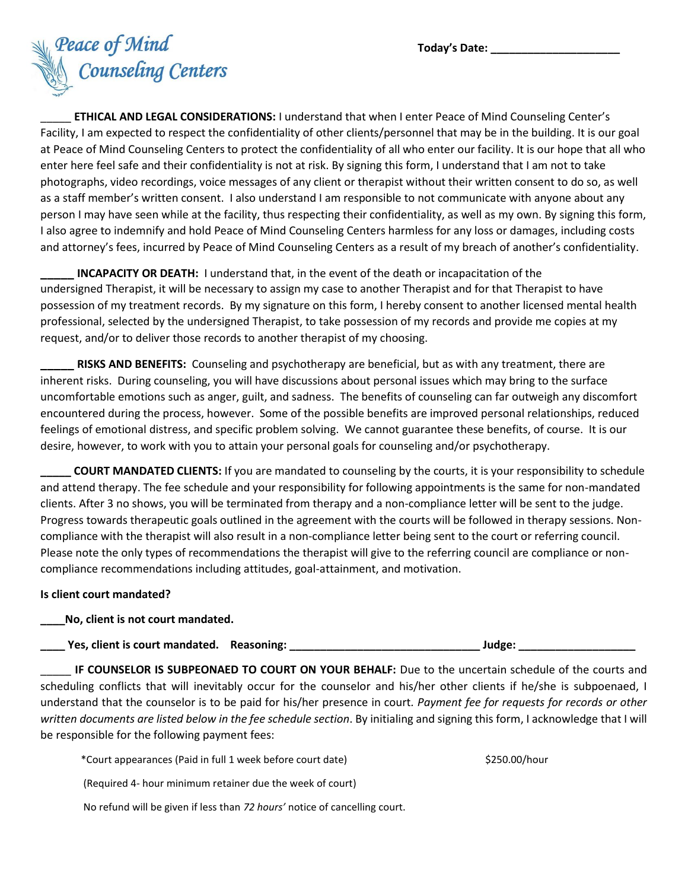

\_\_\_\_\_ **ETHICAL AND LEGAL CONSIDERATIONS:** I understand that when I enter Peace of Mind Counseling Center's Facility, I am expected to respect the confidentiality of other clients/personnel that may be in the building. It is our goal at Peace of Mind Counseling Centers to protect the confidentiality of all who enter our facility. It is our hope that all who enter here feel safe and their confidentiality is not at risk. By signing this form, I understand that I am not to take photographs, video recordings, voice messages of any client or therapist without their written consent to do so, as well as a staff member's written consent. I also understand I am responsible to not communicate with anyone about any person I may have seen while at the facility, thus respecting their confidentiality, as well as my own. By signing this form, I also agree to indemnify and hold Peace of Mind Counseling Centers harmless for any loss or damages, including costs and attorney's fees, incurred by Peace of Mind Counseling Centers as a result of my breach of another's confidentiality.

**INCAPACITY OR DEATH:** I understand that, in the event of the death or incapacitation of the undersigned Therapist, it will be necessary to assign my case to another Therapist and for that Therapist to have possession of my treatment records. By my signature on this form, I hereby consent to another licensed mental health professional, selected by the undersigned Therapist, to take possession of my records and provide me copies at my request, and/or to deliver those records to another therapist of my choosing.

**\_\_\_\_\_ RISKS AND BENEFITS:** Counseling and psychotherapy are beneficial, but as with any treatment, there are inherent risks. During counseling, you will have discussions about personal issues which may bring to the surface uncomfortable emotions such as anger, guilt, and sadness. The benefits of counseling can far outweigh any discomfort encountered during the process, however. Some of the possible benefits are improved personal relationships, reduced feelings of emotional distress, and specific problem solving. We cannot guarantee these benefits, of course. It is our desire, however, to work with you to attain your personal goals for counseling and/or psychotherapy.

**\_\_\_\_\_ COURT MANDATED CLIENTS:** If you are mandated to counseling by the courts, it is your responsibility to schedule and attend therapy. The fee schedule and your responsibility for following appointments is the same for non-mandated clients. After 3 no shows, you will be terminated from therapy and a non-compliance letter will be sent to the judge. Progress towards therapeutic goals outlined in the agreement with the courts will be followed in therapy sessions. Noncompliance with the therapist will also result in a non-compliance letter being sent to the court or referring council. Please note the only types of recommendations the therapist will give to the referring council are compliance or noncompliance recommendations including attitudes, goal-attainment, and motivation.

#### **Is client court mandated?**

#### **\_\_\_\_No, client is not court mandated.**

**\_\_\_\_ Yes, client is court mandated. Reasoning: \_\_\_\_\_\_\_\_\_\_\_\_\_\_\_\_\_\_\_\_\_\_\_\_\_\_\_\_\_\_\_ Judge: \_\_\_\_\_\_\_\_\_\_\_\_\_\_\_\_\_\_\_**

**IF COUNSELOR IS SUBPEONAED TO COURT ON YOUR BEHALF:** Due to the uncertain schedule of the courts and scheduling conflicts that will inevitably occur for the counselor and his/her other clients if he/she is subpoenaed, I understand that the counselor is to be paid for his/her presence in court*. Payment fee for requests for records or other written documents are listed below in the fee schedule section*. By initialing and signing this form, I acknowledge that I will be responsible for the following payment fees:

\*Court appearances (Paid in full 1 week before court date) \$250.00/hour

(Required 4- hour minimum retainer due the week of court)

No refund will be given if less than *72 hours'* notice of cancelling court.